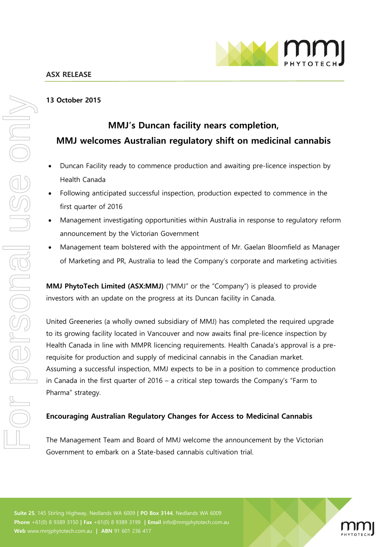

#### **13 October 2015**

# **MMJ's Duncan facility nears completion, MMJ welcomes Australian regulatory shift on medicinal cannabis**

- Duncan Facility ready to commence production and awaiting pre-licence inspection by Health Canada
- Following anticipated successful inspection, production expected to commence in the first quarter of 2016
- Management investigating opportunities within Australia in response to regulatory reform announcement by the Victorian Government
- Management team bolstered with the appointment of Mr. Gaelan Bloomfield as Manager of Marketing and PR, Australia to lead the Company's corporate and marketing activities

**MMJ PhytoTech Limited (ASX:MMJ)** ("MMJ" or the "Company") is pleased to provide investors with an update on the progress at its Duncan facility in Canada.

United Greeneries (a wholly owned subsidiary of MMJ) has completed the required upgrade to its growing facility located in Vancouver and now awaits final pre-licence inspection by Health Canada in line with MMPR licencing requirements. Health Canada's approval is a prerequisite for production and supply of medicinal cannabis in the Canadian market. Assuming a successful inspection, MMJ expects to be in a position to commence production in Canada in the first quarter of 2016 – a critical step towards the Company's "Farm to Pharma" strategy.

## **Encouraging Australian Regulatory Changes for Access to Medicinal Cannabis**

The Management Team and Board of MMJ welcome the announcement by the Victorian Government to embark on a State-based cannabis cultivation trial.

**Suite 25**, 145 Stirling Highway, Nedlands WA 6009 **| PO Box 3144**, Nedlands WA 6009 **Phone** +61(0) 8 9389 3150 **| Fax** +61(0) 8 9389 3199 **| Email** info@mmjphytotech.com.au **Web** www.mmjphytotech.com.au **| ABN** 91 601 236 417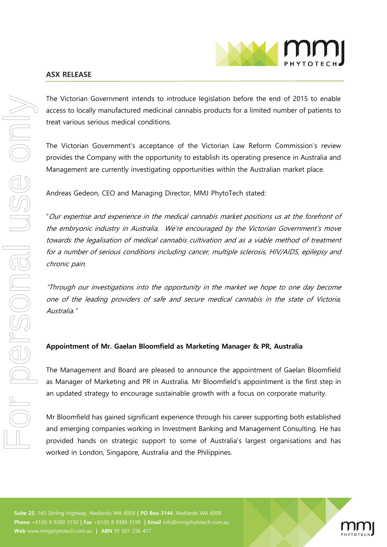

#### **ASX RELEASE**

The Victorian Government intends to introduce legislation before the end of 2015 to enable access to locally manufactured medicinal cannabis products for a limited number of patients to treat various serious medical conditions.

The Victorian Government's acceptance of the Victorian Law Reform Commission's review provides the Company with the opportunity to establish its operating presence in Australia and Management are currently investigating opportunities within the Australian market place.

Andreas Gedeon, CEO and Managing Director, MMJ PhytoTech stated:

"Our expertise and experience in the medical cannabis market positions us at the forefront of the embryonic industry in Australia. We're encouraged by the Victorian Government's move towards the legalisation of medical cannabis cultivation and as a viable method of treatment for a number of serious conditions including cancer, multiple sclerosis, HIV/AIDS, epilepsy and chronic pain.

"Through our investigations into the opportunity in the market we hope to one day become one of the leading providers of safe and secure medical cannabis in the state of Victoria, Australia."

## **Appointment of Mr. Gaelan Bloomfield as Marketing Manager & PR, Australia**

The Management and Board are pleased to announce the appointment of Gaelan Bloomfield as Manager of Marketing and PR in Australia. Mr Bloomfield's appointment is the first step in an updated strategy to encourage sustainable growth with a focus on corporate maturity.

Mr Bloomfield has gained significant experience through his career supporting both established and emerging companies working in Investment Banking and Management Consulting. He has provided hands on strategic support to some of Australia's largest organisations and has worked in London, Singapore, Australia and the Philippines.

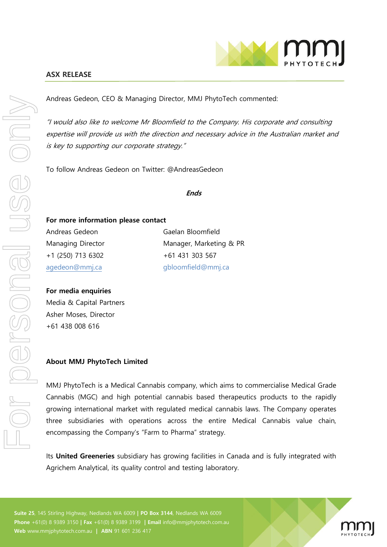

Andreas Gedeon, CEO & Managing Director, MMJ PhytoTech commented:

"I would also like to welcome Mr Bloomfield to the Company. His corporate and consulting expertise will provide us with the direction and necessary advice in the Australian market and is key to supporting our corporate strategy."

To follow Andreas Gedeon on Twitter: @AndreasGedeon

**Ends**

# **For more information please contact**

Andreas Gedeon Gaelan Bloomfield +1 (250) 713 6302 +61 431 303 567

Managing Director Manager, Marketing & PR agedeon@mmj.ca gbloomfield@mmj.ca

## **For media enquiries**

Media & Capital Partners Asher Moses, Director +61 438 008 616

# **About MMJ PhytoTech Limited**

MMJ PhytoTech is a Medical Cannabis company, which aims to commercialise Medical Grade Cannabis (MGC) and high potential cannabis based therapeutics products to the rapidly growing international market with regulated medical cannabis laws. The Company operates three subsidiaries with operations across the entire Medical Cannabis value chain, encompassing the Company's "Farm to Pharma" strategy.

Its **United Greeneries** subsidiary has growing facilities in Canada and is fully integrated with Agrichem Analytical, its quality control and testing laboratory.

**Suite 25**, 145 Stirling Highway, Nedlands WA 6009 **| PO Box 3144**, Nedlands WA 6009 **Phone** +61(0) 8 9389 3150 **| Fax** +61(0) 8 9389 3199 **| Email** info@mmjphytotech.com.au **Web** www.mmjphytotech.com.au **| ABN** 91 601 236 417